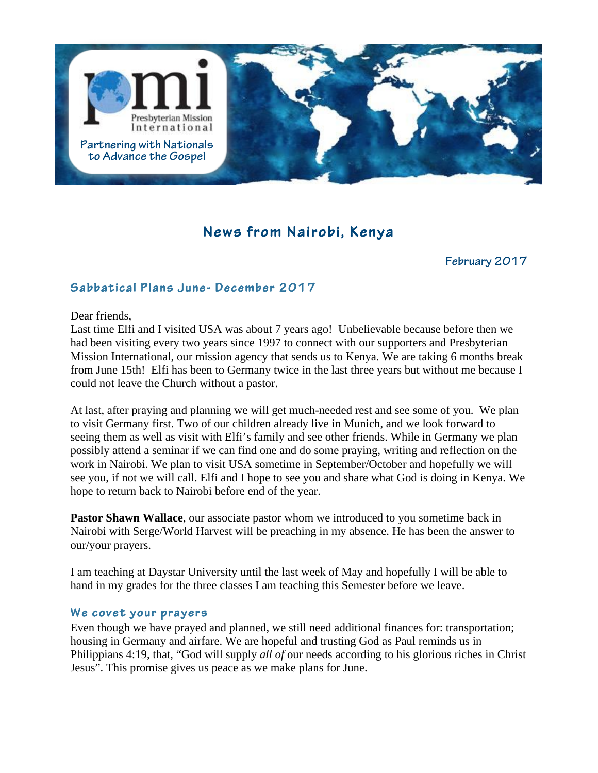

# **News from Nairobi, Kenya**

### **February <sup>2017</sup>**

# **Sabbatical Plans June- December 2017**

Dear friends,

Last time Elfi and I visited USA was about 7 years ago! Unbelievable because before then we had been visiting every two years since 1997 to connect with our supporters and Presbyterian Mission International, our mission agency that sends us to Kenya. We are taking 6 months break from June 15th! Elfi has been to Germany twice in the last three years but without me because I could not leave the Church without a pastor.

At last, after praying and planning we will get much-needed rest and see some of you. We plan to visit Germany first. Two of our children already live in Munich, and we look forward to seeing them as well as visit with Elfi's family and see other friends. While in Germany we plan possibly attend a seminar if we can find one and do some praying, writing and reflection on the work in Nairobi. We plan to visit USA sometime in September/October and hopefully we will see you, if not we will call. Elfi and I hope to see you and share what God is doing in Kenya. We hope to return back to Nairobi before end of the year.

**Pastor Shawn Wallace**, our associate pastor whom we introduced to you sometime back in Nairobi with Serge/World Harvest will be preaching in my absence. He has been the answer to our/your prayers.

I am teaching at Daystar University until the last week of May and hopefully I will be able to hand in my grades for the three classes I am teaching this Semester before we leave.

#### **We covet your prayers**

Even though we have prayed and planned, we still need additional finances for: transportation; housing in Germany and airfare. We are hopeful and trusting God as Paul reminds us in Philippians 4:19, that, "God will supply *all of* our needs according to his glorious riches in Christ Jesus". This promise gives us peace as we make plans for June.